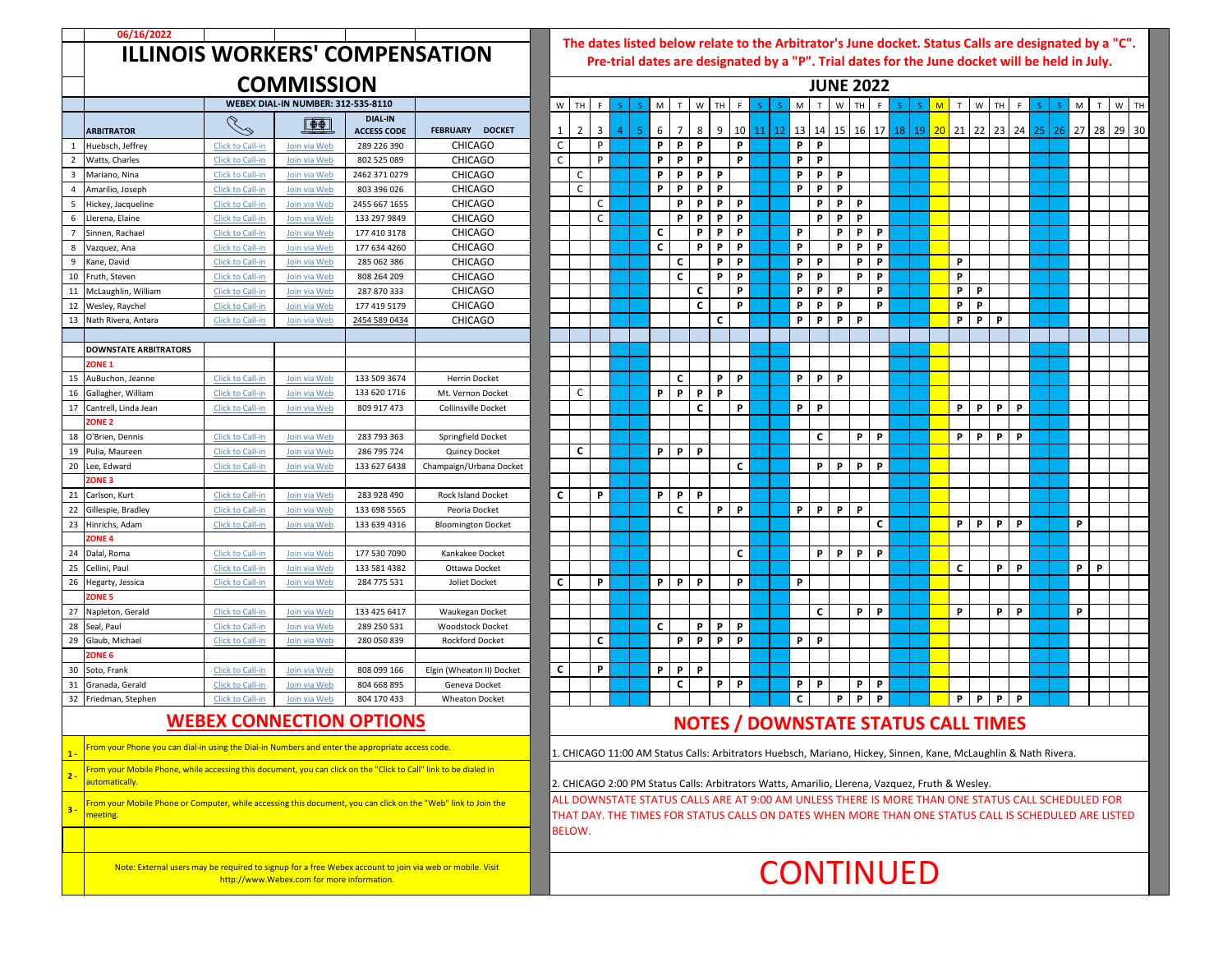

|                                                                                                                                                        | 06/16/2022                                                                                                                         |                                                                                                                                                                                                                   |                                           |                                      |                                                   |              |              |              |                |                |              |                   |                      |                 |  |                  |              |              |              |    |              |    |                                                                                                                                                                                                  |          |          |              |    |   |              |
|--------------------------------------------------------------------------------------------------------------------------------------------------------|------------------------------------------------------------------------------------------------------------------------------------|-------------------------------------------------------------------------------------------------------------------------------------------------------------------------------------------------------------------|-------------------------------------------|--------------------------------------|---------------------------------------------------|--------------|--------------|--------------|----------------|----------------|--------------|-------------------|----------------------|-----------------|--|------------------|--------------|--------------|--------------|----|--------------|----|--------------------------------------------------------------------------------------------------------------------------------------------------------------------------------------------------|----------|----------|--------------|----|---|--------------|
|                                                                                                                                                        | <b>ILLINOIS WORKERS' COMPENSATION</b>                                                                                              | The dates listed below relate to the Arbitrator's June docket. Status Calls are designated by<br>Pre-trial dates are designated by a "P". Trial dates for the June docket will be held in Jul<br><b>JUNE 2022</b> |                                           |                                      |                                                   |              |              |              |                |                |              |                   |                      |                 |  |                  |              |              |              |    |              |    |                                                                                                                                                                                                  |          |          |              |    |   |              |
|                                                                                                                                                        |                                                                                                                                    |                                                                                                                                                                                                                   | <b>COMMISSION</b>                         |                                      |                                                   |              |              |              |                |                |              |                   |                      |                 |  |                  |              |              |              |    |              |    |                                                                                                                                                                                                  |          |          |              |    |   |              |
|                                                                                                                                                        |                                                                                                                                    |                                                                                                                                                                                                                   | <b>WEBEX DIAL-IN NUMBER: 312-535-8110</b> |                                      |                                                   |              | W TH         |              |                |                | M            | W<br>T            | TH                   | -F              |  |                  | M            |              | W            |    |              | -S | M                                                                                                                                                                                                | W        | TH       |              | -S | M | $\mathbf{T}$ |
|                                                                                                                                                        | <b>ARBITRATOR</b>                                                                                                                  | $\sim$                                                                                                                                                                                                            | $\Box$                                    | <b>DIAL-IN</b><br><b>ACCESS CODE</b> | <b>FEBRUARY</b><br><b>DOCKET</b>                  | $\mathbf{1}$ | 2            | 3            | $\overline{4}$ | 5 <sub>1</sub> | 6            | 7                 | 8<br>9 <sup>1</sup>  | 10 <sup>1</sup> |  | $11 \mid 12$     |              |              |              |    |              |    | 13   14   15   16   17 <mark>  18   19   20  </mark> 21   22   23   24 <mark>  25   26  </mark> 27   28                                                                                          |          |          |              |    |   |              |
|                                                                                                                                                        | Huebsch, Jeffrey                                                                                                                   | Click to Call-in                                                                                                                                                                                                  | Join via Web                              | 289 226 390                          | <b>CHICAGO</b>                                    | $\mathsf{C}$ |              | P            |                |                | <b>P</b>     | P<br><b>P</b>     |                      | P.              |  |                  | P            | <b>P</b>     |              |    |              |    |                                                                                                                                                                                                  |          |          |              |    |   |              |
|                                                                                                                                                        | Watts, Charles                                                                                                                     | Click to Call-in                                                                                                                                                                                                  | Join via Web                              | 802 525 089                          | <b>CHICAGO</b>                                    | $\mathsf{C}$ |              | P.           |                |                | P            | P<br>P            |                      | P               |  |                  | P            | P            |              |    |              |    |                                                                                                                                                                                                  |          |          |              |    |   |              |
|                                                                                                                                                        | Mariano, Nina                                                                                                                      | Click to Call-in                                                                                                                                                                                                  | Join via Web                              | 2462 371 0279                        | <b>CHICAGO</b>                                    |              | $\mathsf{C}$ |              |                |                | P            | P                 | <b>P</b><br><b>P</b> |                 |  |                  | P            | P            | P            |    |              |    |                                                                                                                                                                                                  |          |          |              |    |   |              |
|                                                                                                                                                        | Amarilio, Joseph                                                                                                                   | Click to Call-in                                                                                                                                                                                                  | Join via Web                              | 803 396 026                          | <b>CHICAGO</b>                                    |              | $\mathsf{C}$ |              |                |                | P            | P                 | P<br><b>P</b>        |                 |  |                  | P            | P            | P            |    |              |    |                                                                                                                                                                                                  |          |          |              |    |   |              |
| 5                                                                                                                                                      | Hickey, Jacqueline                                                                                                                 | Click to Call-in                                                                                                                                                                                                  | Join via Web                              | 2455 667 1655                        | <b>CHICAGO</b>                                    |              |              | C            |                |                |              | P<br>P            | P                    | P               |  |                  |              | P            | P            | P  |              |    |                                                                                                                                                                                                  |          |          |              |    |   |              |
| $6\overline{6}$                                                                                                                                        | Llerena, Elaine                                                                                                                    | Click to Call-in                                                                                                                                                                                                  | Join via Web                              | 133 297 9849                         | <b>CHICAGO</b>                                    |              |              | $\mathsf{C}$ |                |                |              | P<br><b>P</b>     | <b>P</b>             | P               |  |                  |              | P            | P            | P  |              |    |                                                                                                                                                                                                  |          |          |              |    |   |              |
|                                                                                                                                                        | Sinnen, Rachael                                                                                                                    | Click to Call-in                                                                                                                                                                                                  | Join via Web                              | 177 410 3178                         | <b>CHICAGO</b>                                    |              |              |              |                |                | $\mathsf{C}$ |                   | P<br>P               | P               |  |                  | P            |              | P            | P  | <b>P</b>     |    |                                                                                                                                                                                                  |          |          |              |    |   |              |
| 8                                                                                                                                                      | Vazquez, Ana                                                                                                                       | Click to Call-in                                                                                                                                                                                                  | Join via Web                              | 177 634 4260                         | <b>CHICAGO</b>                                    |              |              |              |                |                | $\mathsf{C}$ |                   | P<br>P               | P               |  |                  | P            |              | <b>P</b>     | P  | <b>P</b>     |    |                                                                                                                                                                                                  |          |          |              |    |   |              |
| q                                                                                                                                                      | Kane, David                                                                                                                        | Click to Call-in                                                                                                                                                                                                  | Join via Web                              | 285 062 386                          | <b>CHICAGO</b>                                    |              |              |              |                |                |              | $\mathsf{C}$      | P                    | P               |  |                  | P            | P            |              | P  | <b>P</b>     |    | P                                                                                                                                                                                                |          |          |              |    |   |              |
| 10                                                                                                                                                     | Fruth, Steven                                                                                                                      | Click to Call-in                                                                                                                                                                                                  | Join via Web                              | 808 264 209                          | <b>CHICAGO</b>                                    |              |              |              |                |                |              | $\mathsf{C}$      | P                    | P               |  |                  | P            | P            |              | P  | <b>P</b>     |    | P                                                                                                                                                                                                |          |          |              |    |   |              |
| 11                                                                                                                                                     | McLaughlin, William                                                                                                                | Click to Call-in                                                                                                                                                                                                  | Join via Web                              | 287 870 333                          | <b>CHICAGO</b>                                    |              |              |              |                |                |              |                   | C                    | P               |  |                  | P            | P            | <b>P</b>     |    | P            |    | P                                                                                                                                                                                                | <b>P</b> |          |              |    |   |              |
|                                                                                                                                                        | 12 Wesley, Raychel                                                                                                                 | Click to Call-in                                                                                                                                                                                                  | Join via Web                              | 177 419 5179                         | <b>CHICAGO</b>                                    |              |              |              |                |                |              |                   | C                    | P               |  |                  | P            | P            | P            |    | P            |    | P                                                                                                                                                                                                | P        |          |              |    |   |              |
|                                                                                                                                                        | 13 Nath Rivera, Antara                                                                                                             | Click to Call-in                                                                                                                                                                                                  | Join via Web                              | 2454 589 0434                        | <b>CHICAGO</b>                                    |              |              |              |                |                |              |                   | $\mathsf{C}$         |                 |  |                  | P            | P            | P            | P  |              |    | P                                                                                                                                                                                                | P        | <b>P</b> |              |    |   |              |
|                                                                                                                                                        |                                                                                                                                    |                                                                                                                                                                                                                   |                                           |                                      |                                                   |              |              |              |                |                |              |                   |                      |                 |  |                  |              |              |              |    |              |    |                                                                                                                                                                                                  |          |          |              |    |   |              |
|                                                                                                                                                        | <b>DOWNSTATE ARBITRATORS</b>                                                                                                       |                                                                                                                                                                                                                   |                                           |                                      |                                                   |              |              |              |                |                |              |                   |                      |                 |  |                  |              |              |              |    |              |    |                                                                                                                                                                                                  |          |          |              |    |   |              |
|                                                                                                                                                        | ZONE <sub>1</sub>                                                                                                                  |                                                                                                                                                                                                                   |                                           |                                      |                                                   |              |              |              |                |                |              |                   |                      |                 |  |                  |              |              |              |    |              |    |                                                                                                                                                                                                  |          |          |              |    |   |              |
|                                                                                                                                                        | 15 AuBuchon, Jeanne                                                                                                                | Click to Call-in                                                                                                                                                                                                  | Join via Web                              | 133 509 3674                         | <b>Herrin Docket</b>                              |              |              |              |                |                |              | $\mathsf{C}$      | <b>P</b>             | P               |  |                  | P            | $\mathbf{P}$ | P            |    |              |    |                                                                                                                                                                                                  |          |          |              |    |   |              |
| 16                                                                                                                                                     | Gallagher, William                                                                                                                 | Click to Call-in                                                                                                                                                                                                  | Join via Web                              | 133 620 1716                         | Mt. Vernon Docket                                 |              | $\mathsf{C}$ |              |                |                | P            | P<br>P            | P                    |                 |  |                  |              |              |              |    |              |    |                                                                                                                                                                                                  |          |          |              |    |   |              |
| 17                                                                                                                                                     | Cantrell, Linda Jean                                                                                                               | Click to Call-in                                                                                                                                                                                                  | Join via Web                              | 809 917 473                          | <b>Collinsville Docket</b>                        |              |              |              |                |                |              |                   | C                    | P               |  |                  | P            | P            |              |    |              |    | P                                                                                                                                                                                                | P        | P        | $\mathsf{P}$ |    |   |              |
|                                                                                                                                                        | <b>ZONE 2</b>                                                                                                                      |                                                                                                                                                                                                                   |                                           |                                      |                                                   |              |              |              |                |                |              |                   |                      |                 |  |                  |              |              |              |    |              |    |                                                                                                                                                                                                  |          |          |              |    |   |              |
| 18                                                                                                                                                     | O'Brien, Dennis                                                                                                                    | Click to Call-in                                                                                                                                                                                                  | Join via Web                              | 283 793 363                          | Springfield Docket                                |              |              |              |                |                |              |                   |                      |                 |  |                  |              | $\mathsf{C}$ |              | P. | <b>P</b>     |    | P                                                                                                                                                                                                | <b>P</b> | P        | P            |    |   |              |
|                                                                                                                                                        | 19 Pulia, Maureen                                                                                                                  | Click to Call-in                                                                                                                                                                                                  | Join via Web                              | 286 795 724                          | <b>Quincy Docket</b>                              |              | $\mathsf{C}$ |              |                |                | P            | P<br>$\mathsf{P}$ |                      |                 |  |                  |              |              |              |    |              |    |                                                                                                                                                                                                  |          |          |              |    |   |              |
| 20                                                                                                                                                     | Lee, Edward                                                                                                                        | Click to Call-in                                                                                                                                                                                                  | Join via Web                              | 133 627 6438                         | Champaign/Urbana Docket                           |              |              |              |                |                |              |                   |                      | $\mathsf{C}$    |  |                  |              | P            | P            | P  | <b>P</b>     |    |                                                                                                                                                                                                  |          |          |              |    |   |              |
|                                                                                                                                                        | ZONE <sub>3</sub>                                                                                                                  |                                                                                                                                                                                                                   |                                           |                                      |                                                   |              |              |              |                |                |              |                   |                      |                 |  |                  |              |              |              |    |              |    |                                                                                                                                                                                                  |          |          |              |    |   |              |
| 21                                                                                                                                                     | Carlson, Kurt                                                                                                                      | Click to Call-in                                                                                                                                                                                                  | Join via Web                              | 283 928 490                          | <b>Rock Island Docket</b>                         | $\mathsf{C}$ |              | P            |                |                | P            | P<br>P            |                      |                 |  |                  |              |              |              |    |              |    |                                                                                                                                                                                                  |          |          |              |    |   |              |
| 22                                                                                                                                                     | Gillespie, Bradley                                                                                                                 | Click to Call-in                                                                                                                                                                                                  | Join via Web                              | 133 698 5565                         | Peoria Docket                                     |              |              |              |                |                |              | $\mathsf{C}$      | P                    | P               |  |                  | P            | $\mathbf{P}$ | P.           | P  |              |    |                                                                                                                                                                                                  |          |          |              |    |   |              |
| 23                                                                                                                                                     | Hinrichs, Adam                                                                                                                     | Click to Call-in                                                                                                                                                                                                  | Join via Web                              | 133 639 4316                         | <b>Bloomington Docket</b>                         |              |              |              |                |                |              |                   |                      |                 |  |                  |              |              |              |    | $\mathsf{C}$ |    | P                                                                                                                                                                                                | P        | P        | $\mathsf{P}$ |    | P |              |
|                                                                                                                                                        | ZONE <sub>4</sub>                                                                                                                  |                                                                                                                                                                                                                   |                                           |                                      |                                                   |              |              |              |                |                |              |                   |                      |                 |  |                  |              |              |              |    |              |    |                                                                                                                                                                                                  |          |          |              |    |   |              |
| 24                                                                                                                                                     | Dalal, Roma                                                                                                                        | <b>Click to Call-in</b>                                                                                                                                                                                           | Join via Web                              | 177 530 7090                         | Kankakee Docket                                   |              |              |              |                |                |              |                   |                      | $\mathsf{C}$    |  |                  |              | P            | $\mathsf{P}$ | P  | $\mathsf{P}$ |    |                                                                                                                                                                                                  |          |          |              |    |   |              |
| 25                                                                                                                                                     | Cellini, Paul                                                                                                                      | <b>Click to Call-in</b>                                                                                                                                                                                           | Join via Web                              | 133 581 4382                         | Ottawa Docket                                     |              |              |              |                |                |              |                   |                      |                 |  |                  |              |              |              |    |              |    | $\mathsf{C}$                                                                                                                                                                                     |          | P        | P            |    | P | $\mathsf{P}$ |
| 26                                                                                                                                                     | Hegarty, Jessica                                                                                                                   | <b>Click to Call-in</b>                                                                                                                                                                                           | Join via Web                              | 284 775 531                          | Joliet Docket                                     | $\mathsf{C}$ |              | P            |                |                | P.           | P<br><b>P</b>     |                      | P               |  |                  | P            |              |              |    |              |    |                                                                                                                                                                                                  |          |          |              |    |   |              |
|                                                                                                                                                        | <b>ZONE 5</b>                                                                                                                      |                                                                                                                                                                                                                   |                                           |                                      |                                                   |              |              |              |                |                |              |                   |                      |                 |  |                  |              |              |              |    |              |    |                                                                                                                                                                                                  |          |          |              |    |   |              |
| 27                                                                                                                                                     | Napleton, Gerald                                                                                                                   | <b>Click to Call-in</b>                                                                                                                                                                                           | Join via Web                              | 133 425 6417                         | Waukegan Docket                                   |              |              |              |                |                |              |                   |                      |                 |  |                  |              | $\mathsf{C}$ |              | P. | P            |    | P                                                                                                                                                                                                |          | P        | P            |    | P |              |
| 28                                                                                                                                                     | Seal, Paul                                                                                                                         | <b>Click to Call-in</b>                                                                                                                                                                                           | Join via Web                              | 289 250 531                          | <b>Woodstock Docket</b><br><b>Rockford Docket</b> |              |              | C            |                |                | $\mathsf{C}$ |                   | P<br>$\mathsf{P}$    | P               |  |                  |              |              |              |    |              |    |                                                                                                                                                                                                  |          |          |              |    |   |              |
| 29                                                                                                                                                     | Glaub, Michael<br>ZONE <sub>6</sub>                                                                                                | <b>Click to Call-in</b>                                                                                                                                                                                           | Join via Web                              | 280 050 839                          |                                                   |              |              |              |                |                |              | P                 | P<br><b>P</b>        | P               |  |                  | P            | $\mathsf{P}$ |              |    |              |    |                                                                                                                                                                                                  |          |          |              |    |   |              |
|                                                                                                                                                        | 30 Soto, Frank                                                                                                                     | Click to Call-in                                                                                                                                                                                                  | Join via Web                              | 808 099 166                          | Elgin (Wheaton II) Docket                         | $\mathsf{C}$ |              | P            |                |                | P            | $\mathsf{P}$<br>P |                      |                 |  |                  |              |              |              |    |              |    |                                                                                                                                                                                                  |          |          |              |    |   |              |
| 31                                                                                                                                                     | Granada, Gerald                                                                                                                    | <b>Click to Call-in</b>                                                                                                                                                                                           | Join via Web                              | 804 668 895                          | Geneva Docket                                     |              |              |              |                |                |              | $\mathsf{C}$      | $\mathsf{P}$         | P               |  |                  | P            | P            |              | P  | P            |    |                                                                                                                                                                                                  |          |          |              |    |   |              |
| 32                                                                                                                                                     | Friedman, Stephen                                                                                                                  | <b>Click to Call-in</b>                                                                                                                                                                                           | Join via Web                              | 804 170 433                          | <b>Wheaton Docket</b>                             |              |              |              |                |                |              |                   |                      |                 |  |                  | $\mathsf{C}$ |              | P            | P  | P            |    | P                                                                                                                                                                                                | P        | P        | $\mathsf{P}$ |    |   |              |
|                                                                                                                                                        |                                                                                                                                    |                                                                                                                                                                                                                   |                                           |                                      |                                                   |              |              |              |                |                |              |                   |                      |                 |  |                  |              |              |              |    |              |    |                                                                                                                                                                                                  |          |          |              |    |   |              |
|                                                                                                                                                        |                                                                                                                                    |                                                                                                                                                                                                                   | <b>WEBEX CONNECTION OPTIONS</b>           |                                      |                                                   |              |              |              |                |                |              |                   |                      |                 |  |                  |              |              |              |    |              |    | <b>NOTES / DOWNSTATE STATUS CALL TIMES</b>                                                                                                                                                       |          |          |              |    |   |              |
|                                                                                                                                                        | From your Phone you can dial-in using the Dial-in Numbers and enter the appropriate access code.                                   |                                                                                                                                                                                                                   |                                           |                                      |                                                   |              |              |              |                |                |              |                   |                      |                 |  |                  |              |              |              |    |              |    | 1. CHICAGO 11:00 AM Status Calls: Arbitrators Huebsch, Mariano, Hickey, Sinnen, Kane, McLaughlin & Nath Rivera.                                                                                  |          |          |              |    |   |              |
| $2 -$                                                                                                                                                  | From your Mobile Phone, while accessing this document, you can click on the "Click to Call" link to be dialed in<br>automatically. |                                                                                                                                                                                                                   |                                           |                                      |                                                   |              |              |              |                |                |              |                   |                      |                 |  |                  |              |              |              |    |              |    |                                                                                                                                                                                                  |          |          |              |    |   |              |
| $3 -$                                                                                                                                                  | From your Mobile Phone or Computer, while accessing this document, you can click on the "Web" link to Join the                     |                                                                                                                                                                                                                   |                                           |                                      |                                                   |              |              |              |                |                |              |                   |                      |                 |  |                  |              |              |              |    |              |    | 2. CHICAGO 2:00 PM Status Calls: Arbitrators Watts, Amarilio, Llerena, Vazquez, Fruth & Wesley.<br>ALL DOWNSTATE STATUS CALLS ARE AT 9:00 AM UNLESS THERE IS MORE THAN ONE STATUS CALL SCHEDULED |          |          |              |    |   |              |
|                                                                                                                                                        | THAT DAY. THE TIMES FOR STATUS CALLS ON DATES WHEN MORE THAN ONE STATUS CALL IS SCHEDULED ARE<br>meeting.<br><b>BELOW.</b>         |                                                                                                                                                                                                                   |                                           |                                      |                                                   |              |              |              |                |                |              |                   |                      |                 |  |                  |              |              |              |    |              |    |                                                                                                                                                                                                  |          |          |              |    |   |              |
|                                                                                                                                                        |                                                                                                                                    |                                                                                                                                                                                                                   |                                           |                                      |                                                   |              |              |              |                |                |              |                   |                      |                 |  |                  |              |              |              |    |              |    |                                                                                                                                                                                                  |          |          |              |    |   |              |
| Note: External users may be required to signup for a free Webex account to join via web or mobile. Visit<br>http://www.Webex.com for more information. |                                                                                                                                    |                                                                                                                                                                                                                   |                                           |                                      |                                                   |              |              |              |                |                |              |                   |                      |                 |  | <b>CONTINUED</b> |              |              |              |    |              |    |                                                                                                                                                                                                  |          |          |              |    |   |              |

**The dates listed below relate to the Arbitrator's June docket. Status Calls are designated by a "C". Pre-trial dates are designated by a "P". Trial dates for the June docket will be held in July.**

## **NOTES / DOWNSTATE STATUS CALL TIMES**

ICAGO 2:00 PM Status Calls: Arbitrators Watts, Amarilio, Llerena, Vazquez, Fruth & Wesley. DOWNSTATE STATUS CALLS ARE AT 9:00 AM UNLESS THERE IS MORE THAN ONE STATUS CALL SCHEDULED FOR DAY. THE TIMES FOR STATUS CALLS ON DATES WHEN MORE THAN ONE STATUS CALL IS SCHEDULED ARE LISTED DW.

## **CONTINUED**

## **JUNE 2022**

| W            | TH             | F           | S.                      | $\mathsf S$ | M            | T              | W            | TH | F  | $\mathsf{S}$ | $\mathsf S$ | $\mathsf{M}% _{T}=\mathsf{M}_{T}\!\left( a,b\right) ,\ \mathsf{M}_{T}=\mathsf{M}_{T}\!\left( a,b\right) ,$ | T                         | W                         | TH | F            | $\mathsf S$ |
|--------------|----------------|-------------|-------------------------|-------------|--------------|----------------|--------------|----|----|--------------|-------------|------------------------------------------------------------------------------------------------------------|---------------------------|---------------------------|----|--------------|-------------|
| $\mathbf{1}$ | $\overline{2}$ | 3           | $\overline{\mathbf{4}}$ | 5           | 6            | $\overline{7}$ | 8            | 9  | 10 | 11           | 12          | 13                                                                                                         | 14                        | 15                        | 16 | 17           | 18          |
| $\mathsf C$  |                | P           |                         |             | P            | P              | P            |    | P  |              |             | P                                                                                                          | P                         |                           |    |              |             |
| $\mathsf C$  |                | P           |                         |             | P            | P              | P            |    | P  |              |             | P                                                                                                          | P                         |                           |    |              |             |
|              | C              |             |                         |             | P            | P              | P            | P  |    |              |             | P                                                                                                          | P                         | P                         |    |              |             |
|              | $\mathsf C$    |             |                         |             | P            | P              | P            | P  |    |              |             | P                                                                                                          | P                         | $\boldsymbol{\mathsf{P}}$ |    |              |             |
|              |                | $\mathsf C$ |                         |             |              | P              | P            | P  | P  |              |             |                                                                                                            | P                         | P                         | P  |              |             |
|              |                | $\mathsf C$ |                         |             |              | P              | P            | P  | P  |              |             |                                                                                                            | P                         | P                         | P  |              |             |
|              |                |             |                         |             | $\mathsf{C}$ |                | P            | P  | P  |              |             | P                                                                                                          |                           | P                         | P  | P            |             |
|              |                |             |                         |             | $\mathsf{C}$ |                | P            | P  | P  |              |             | P                                                                                                          |                           | P                         | P  | P            |             |
|              |                |             |                         |             |              | $\mathsf C$    |              | P  | P  |              |             | P                                                                                                          | $\boldsymbol{\mathsf{P}}$ |                           | P  | P            |             |
|              |                |             |                         |             |              | $\mathsf C$    |              | P  | P  |              |             | P                                                                                                          | P                         |                           | P  | P            |             |
|              |                |             |                         |             |              |                | C            |    | P  |              |             | P                                                                                                          | P                         | P                         |    | P            |             |
|              |                |             |                         |             |              |                | $\mathsf C$  |    | P  |              |             | $\boldsymbol{\mathsf{P}}$                                                                                  | P                         | P                         |    | P            |             |
|              |                |             |                         |             |              |                |              | C  |    |              |             | P                                                                                                          | P                         | P                         | P  |              |             |
|              |                |             |                         |             |              |                |              |    |    |              |             |                                                                                                            |                           |                           |    |              |             |
|              |                |             |                         |             |              |                |              |    |    |              |             |                                                                                                            |                           |                           |    |              |             |
|              |                |             |                         |             |              |                |              |    |    |              |             |                                                                                                            |                           |                           |    |              |             |
|              |                |             |                         |             |              | $\mathsf C$    |              | P  | P  |              |             | P                                                                                                          | P                         | P                         |    |              |             |
|              | C              |             |                         |             | P            | P              | P            | P  |    |              |             |                                                                                                            |                           |                           |    |              |             |
|              |                |             |                         |             |              |                | $\mathsf{C}$ |    | P  |              |             | P                                                                                                          | P                         |                           |    |              |             |
|              |                |             |                         |             |              |                |              |    |    |              |             |                                                                                                            |                           |                           |    |              |             |
|              |                |             |                         |             |              |                |              |    |    |              |             |                                                                                                            | C                         |                           | P  | P            |             |
|              | $\mathsf{C}$   |             |                         |             | P            | P              | P            |    |    |              |             |                                                                                                            |                           |                           |    |              |             |
|              |                |             |                         |             |              |                |              |    | C  |              |             |                                                                                                            | P                         | P                         | P  | P            |             |
|              |                |             |                         |             |              |                |              |    |    |              |             |                                                                                                            |                           |                           |    |              |             |
| $\mathsf C$  |                | P           |                         |             | P            | P              | P            |    |    |              |             |                                                                                                            |                           |                           |    |              |             |
|              |                |             |                         |             |              | C              |              | P  | P  |              |             | P                                                                                                          | P                         | P                         | P  |              |             |
|              |                |             |                         |             |              |                |              |    |    |              |             |                                                                                                            |                           |                           |    | $\mathsf{C}$ |             |
|              |                |             |                         |             |              |                |              |    | C  |              |             |                                                                                                            | P                         | P                         | P  | P            |             |
|              |                |             |                         |             |              |                |              |    |    |              |             |                                                                                                            |                           |                           |    |              |             |
| $\mathsf{C}$ |                | P           |                         |             | P            | P              | P            |    | P  |              |             | P                                                                                                          |                           |                           |    |              |             |
|              |                |             |                         |             |              |                |              |    |    |              |             |                                                                                                            |                           |                           |    |              |             |
|              |                |             |                         |             |              |                |              |    |    |              |             |                                                                                                            | C                         |                           | P  | P            |             |
|              |                |             |                         |             | $\mathsf{C}$ |                | P            | P  | P  |              |             |                                                                                                            |                           |                           |    |              |             |
|              |                | C           |                         |             |              | P              | P            | P  | P  |              |             | P                                                                                                          | P                         |                           |    |              |             |
|              |                |             |                         |             |              |                |              |    |    |              |             |                                                                                                            |                           |                           |    |              |             |
| $\mathsf{C}$ |                | P           |                         |             | P            | P              | P            |    |    |              |             |                                                                                                            |                           |                           |    |              |             |
|              |                |             |                         |             |              | С              |              | P  | P  |              |             | P                                                                                                          | P                         |                           | P  | P            |             |
|              |                |             |                         |             |              |                |              |    |    |              |             | C                                                                                                          |                           | P                         | P  | P            |             |
|              |                |             |                         |             |              |                |              |    |    |              |             |                                                                                                            |                           |                           |    |              |             |